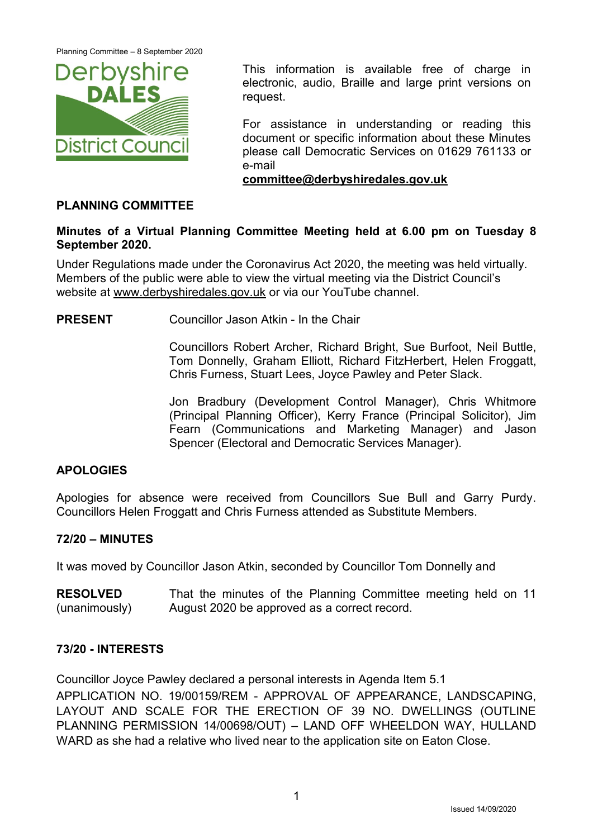

This information is available free of charge in electronic, audio, Braille and large print versions on request.

For assistance in understanding or reading this document or specific information about these Minutes please call Democratic Services on 01629 761133 or e-mail

**[committee@derbyshiredales.gov.uk](mailto:committee@derbyshiredales.gov.uk)**

# **PLANNING COMMITTEE**

# **Minutes of a Virtual Planning Committee Meeting held at 6.00 pm on Tuesday 8 September 2020.**

Under Regulations made under the Coronavirus Act 2020, the meeting was held virtually. Members of the public were able to view the virtual meeting via the District Council's website at [www.derbyshiredales.gov.uk](http://www.derbyshiredales.gov.uk/) or via our YouTube channel.

**PRESENT** Councillor Jason Atkin - In the Chair

Councillors Robert Archer, Richard Bright, Sue Burfoot, Neil Buttle, Tom Donnelly, Graham Elliott, Richard FitzHerbert, Helen Froggatt, Chris Furness, Stuart Lees, Joyce Pawley and Peter Slack.

Jon Bradbury (Development Control Manager), Chris Whitmore (Principal Planning Officer), Kerry France (Principal Solicitor), Jim Fearn (Communications and Marketing Manager) and Jason Spencer (Electoral and Democratic Services Manager).

# **APOLOGIES**

Apologies for absence were received from Councillors Sue Bull and Garry Purdy. Councillors Helen Froggatt and Chris Furness attended as Substitute Members.

# **72/20 – MINUTES**

It was moved by Councillor Jason Atkin, seconded by Councillor Tom Donnelly and

**RESOLVED** (unanimously) That the minutes of the Planning Committee meeting held on 11 August 2020 be approved as a correct record.

## **73/20 - INTERESTS**

Councillor Joyce Pawley declared a personal interests in Agenda Item 5.1

APPLICATION NO. 19/00159/REM - APPROVAL OF APPEARANCE, LANDSCAPING, LAYOUT AND SCALE FOR THE ERECTION OF 39 NO. DWELLINGS (OUTLINE PLANNING PERMISSION 14/00698/OUT) – LAND OFF WHEELDON WAY, HULLAND WARD as she had a relative who lived near to the application site on Eaton Close.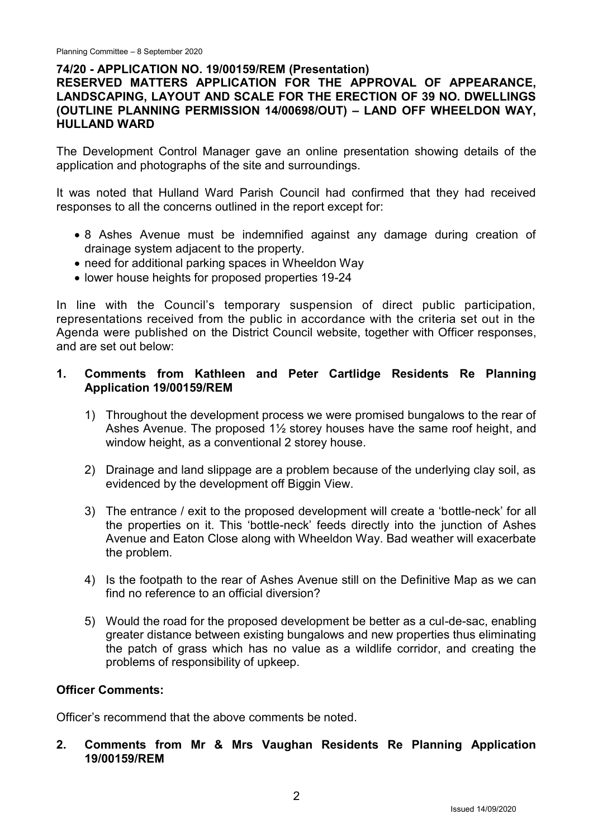## **74/20 - APPLICATION NO. 19/00159/REM (Presentation)**

# **RESERVED MATTERS APPLICATION FOR THE APPROVAL OF APPEARANCE, LANDSCAPING, LAYOUT AND SCALE FOR THE ERECTION OF 39 NO. DWELLINGS (OUTLINE PLANNING PERMISSION 14/00698/OUT) – LAND OFF WHEELDON WAY, HULLAND WARD**

The Development Control Manager gave an online presentation showing details of the application and photographs of the site and surroundings.

It was noted that Hulland Ward Parish Council had confirmed that they had received responses to all the concerns outlined in the report except for:

- 8 Ashes Avenue must be indemnified against any damage during creation of drainage system adjacent to the property.
- need for additional parking spaces in Wheeldon Way
- lower house heights for proposed properties 19-24

In line with the Council's temporary suspension of direct public participation, representations received from the public in accordance with the criteria set out in the Agenda were published on the District Council website, together with Officer responses, and are set out below:

### **1. Comments from Kathleen and Peter Cartlidge Residents Re Planning Application 19/00159/REM**

- 1) Throughout the development process we were promised bungalows to the rear of Ashes Avenue. The proposed 1½ storey houses have the same roof height, and window height, as a conventional 2 storey house.
- 2) Drainage and land slippage are a problem because of the underlying clay soil, as evidenced by the development off Biggin View.
- 3) The entrance / exit to the proposed development will create a 'bottle-neck' for all the properties on it. This 'bottle-neck' feeds directly into the junction of Ashes Avenue and Eaton Close along with Wheeldon Way. Bad weather will exacerbate the problem.
- 4) Is the footpath to the rear of Ashes Avenue still on the Definitive Map as we can find no reference to an official diversion?
- 5) Would the road for the proposed development be better as a cul-de-sac, enabling greater distance between existing bungalows and new properties thus eliminating the patch of grass which has no value as a wildlife corridor, and creating the problems of responsibility of upkeep.

### **Officer Comments:**

Officer's recommend that the above comments be noted.

**2. Comments from Mr & Mrs Vaughan Residents Re Planning Application 19/00159/REM**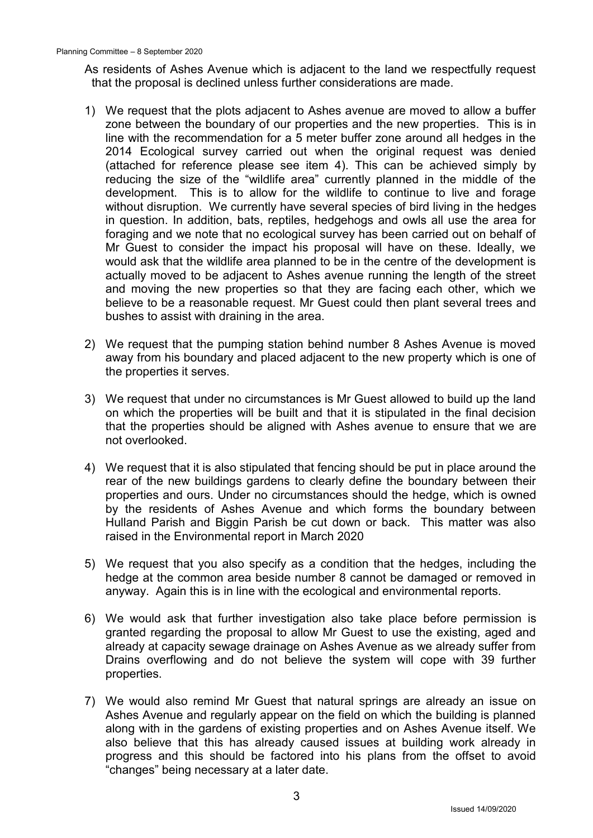As residents of Ashes Avenue which is adjacent to the land we respectfully request that the proposal is declined unless further considerations are made.

- 1) We request that the plots adjacent to Ashes avenue are moved to allow a buffer zone between the boundary of our properties and the new properties. This is in line with the recommendation for a 5 meter buffer zone around all hedges in the 2014 Ecological survey carried out when the original request was denied (attached for reference please see item 4). This can be achieved simply by reducing the size of the "wildlife area" currently planned in the middle of the development. This is to allow for the wildlife to continue to live and forage without disruption. We currently have several species of bird living in the hedges in question. In addition, bats, reptiles, hedgehogs and owls all use the area for foraging and we note that no ecological survey has been carried out on behalf of Mr Guest to consider the impact his proposal will have on these. Ideally, we would ask that the wildlife area planned to be in the centre of the development is actually moved to be adjacent to Ashes avenue running the length of the street and moving the new properties so that they are facing each other, which we believe to be a reasonable request. Mr Guest could then plant several trees and bushes to assist with draining in the area.
- 2) We request that the pumping station behind number 8 Ashes Avenue is moved away from his boundary and placed adjacent to the new property which is one of the properties it serves.
- 3) We request that under no circumstances is Mr Guest allowed to build up the land on which the properties will be built and that it is stipulated in the final decision that the properties should be aligned with Ashes avenue to ensure that we are not overlooked.
- 4) We request that it is also stipulated that fencing should be put in place around the rear of the new buildings gardens to clearly define the boundary between their properties and ours. Under no circumstances should the hedge, which is owned by the residents of Ashes Avenue and which forms the boundary between Hulland Parish and Biggin Parish be cut down or back. This matter was also raised in the Environmental report in March 2020
- 5) We request that you also specify as a condition that the hedges, including the hedge at the common area beside number 8 cannot be damaged or removed in anyway. Again this is in line with the ecological and environmental reports.
- 6) We would ask that further investigation also take place before permission is granted regarding the proposal to allow Mr Guest to use the existing, aged and already at capacity sewage drainage on Ashes Avenue as we already suffer from Drains overflowing and do not believe the system will cope with 39 further properties.
- 7) We would also remind Mr Guest that natural springs are already an issue on Ashes Avenue and regularly appear on the field on which the building is planned along with in the gardens of existing properties and on Ashes Avenue itself. We also believe that this has already caused issues at building work already in progress and this should be factored into his plans from the offset to avoid "changes" being necessary at a later date.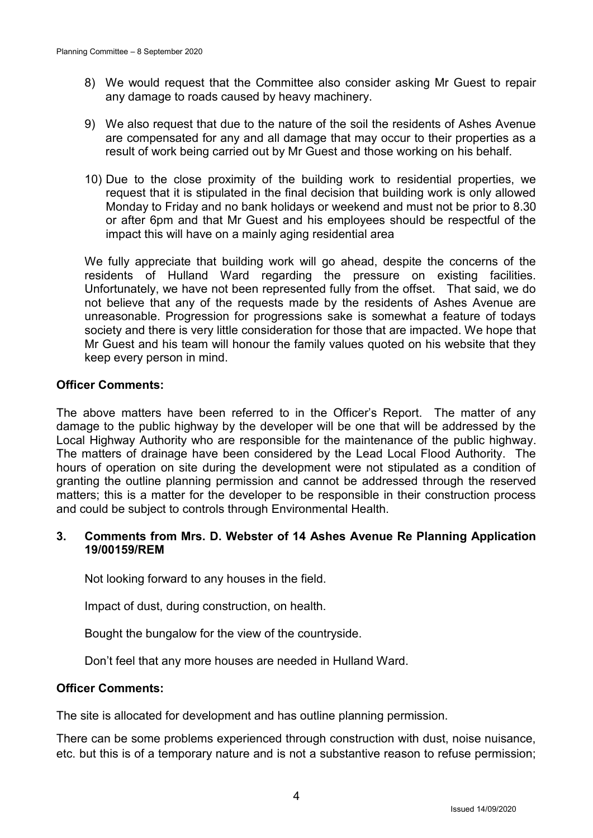- 8) We would request that the Committee also consider asking Mr Guest to repair any damage to roads caused by heavy machinery.
- 9) We also request that due to the nature of the soil the residents of Ashes Avenue are compensated for any and all damage that may occur to their properties as a result of work being carried out by Mr Guest and those working on his behalf.
- 10) Due to the close proximity of the building work to residential properties, we request that it is stipulated in the final decision that building work is only allowed Monday to Friday and no bank holidays or weekend and must not be prior to 8.30 or after 6pm and that Mr Guest and his employees should be respectful of the impact this will have on a mainly aging residential area

We fully appreciate that building work will go ahead, despite the concerns of the residents of Hulland Ward regarding the pressure on existing facilities. Unfortunately, we have not been represented fully from the offset. That said, we do not believe that any of the requests made by the residents of Ashes Avenue are unreasonable. Progression for progressions sake is somewhat a feature of todays society and there is very little consideration for those that are impacted. We hope that Mr Guest and his team will honour the family values quoted on his website that they keep every person in mind.

### **Officer Comments:**

The above matters have been referred to in the Officer's Report. The matter of any damage to the public highway by the developer will be one that will be addressed by the Local Highway Authority who are responsible for the maintenance of the public highway. The matters of drainage have been considered by the Lead Local Flood Authority. The hours of operation on site during the development were not stipulated as a condition of granting the outline planning permission and cannot be addressed through the reserved matters; this is a matter for the developer to be responsible in their construction process and could be subject to controls through Environmental Health.

### **3. Comments from Mrs. D. Webster of 14 Ashes Avenue Re Planning Application 19/00159/REM**

Not looking forward to any houses in the field.

Impact of dust, during construction, on health.

Bought the bungalow for the view of the countryside.

Don't feel that any more houses are needed in Hulland Ward.

### **Officer Comments:**

The site is allocated for development and has outline planning permission.

There can be some problems experienced through construction with dust, noise nuisance, etc. but this is of a temporary nature and is not a substantive reason to refuse permission;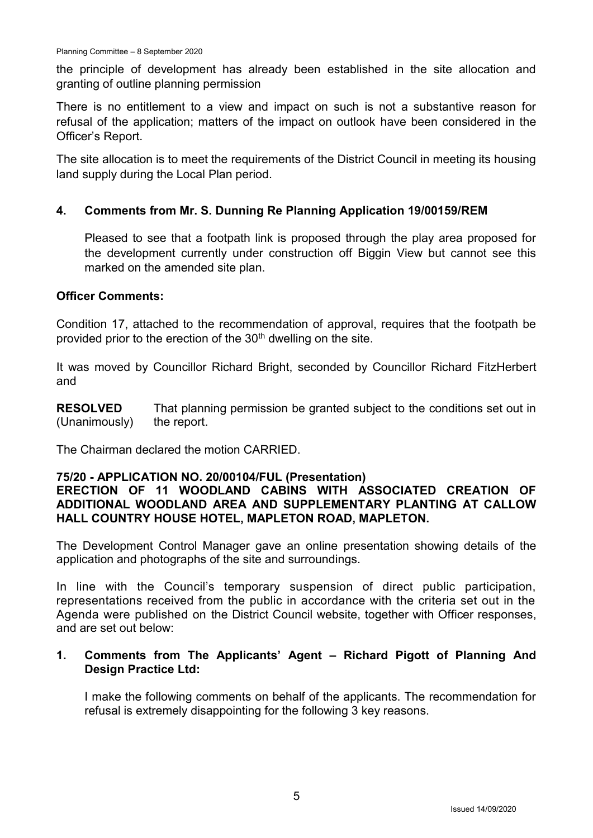the principle of development has already been established in the site allocation and granting of outline planning permission

There is no entitlement to a view and impact on such is not a substantive reason for refusal of the application; matters of the impact on outlook have been considered in the Officer's Report.

The site allocation is to meet the requirements of the District Council in meeting its housing land supply during the Local Plan period.

## **4. Comments from Mr. S. Dunning Re Planning Application 19/00159/REM**

Pleased to see that a footpath link is proposed through the play area proposed for the development currently under construction off Biggin View but cannot see this marked on the amended site plan.

## **Officer Comments:**

Condition 17, attached to the recommendation of approval, requires that the footpath be provided prior to the erection of the  $30<sup>th</sup>$  dwelling on the site.

It was moved by Councillor Richard Bright, seconded by Councillor Richard FitzHerbert and

**RESOLVED** (Unanimously) That planning permission be granted subject to the conditions set out in the report.

The Chairman declared the motion CARRIED.

## **75/20 - APPLICATION NO. 20/00104/FUL (Presentation)**

# **ERECTION OF 11 WOODLAND CABINS WITH ASSOCIATED CREATION OF ADDITIONAL WOODLAND AREA AND SUPPLEMENTARY PLANTING AT CALLOW HALL COUNTRY HOUSE HOTEL, MAPLETON ROAD, MAPLETON.**

The Development Control Manager gave an online presentation showing details of the application and photographs of the site and surroundings.

In line with the Council's temporary suspension of direct public participation, representations received from the public in accordance with the criteria set out in the Agenda were published on the District Council website, together with Officer responses, and are set out below:

# **1. Comments from The Applicants' Agent – Richard Pigott of Planning And Design Practice Ltd:**

I make the following comments on behalf of the applicants. The recommendation for refusal is extremely disappointing for the following 3 key reasons.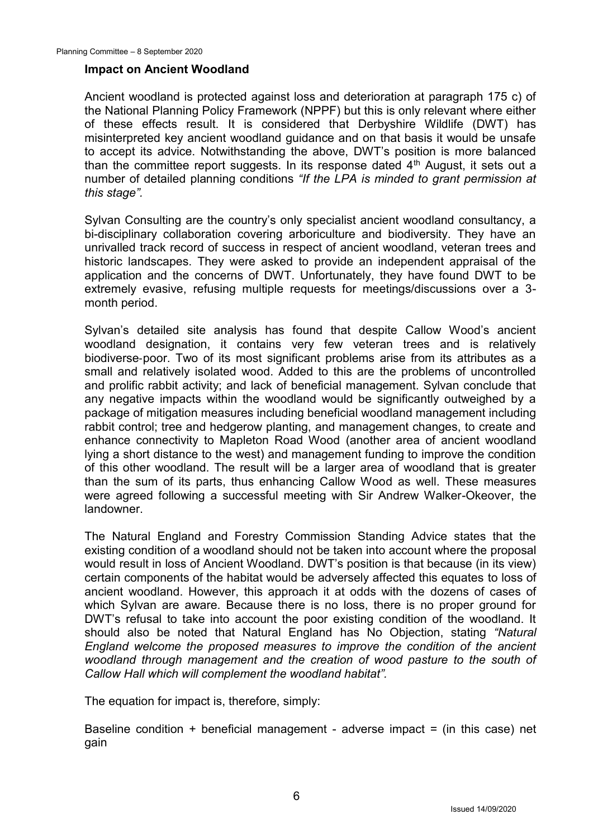#### **Impact on Ancient Woodland**

Ancient woodland is protected against loss and deterioration at paragraph 175 c) of the National Planning Policy Framework (NPPF) but this is only relevant where either of these effects result. It is considered that Derbyshire Wildlife (DWT) has misinterpreted key ancient woodland guidance and on that basis it would be unsafe to accept its advice. Notwithstanding the above, DWT's position is more balanced than the committee report suggests. In its response dated  $4<sup>th</sup>$  August, it sets out a number of detailed planning conditions *"If the LPA is minded to grant permission at this stage".*

Sylvan Consulting are the country's only specialist ancient woodland consultancy, a bi-disciplinary collaboration covering arboriculture and biodiversity. They have an unrivalled track record of success in respect of ancient woodland, veteran trees and historic landscapes. They were asked to provide an independent appraisal of the application and the concerns of DWT. Unfortunately, they have found DWT to be extremely evasive, refusing multiple requests for meetings/discussions over a 3 month period.

Sylvan's detailed site analysis has found that despite Callow Wood's ancient woodland designation, it contains very few veteran trees and is relatively biodiverse‐poor. Two of its most significant problems arise from its attributes as a small and relatively isolated wood. Added to this are the problems of uncontrolled and prolific rabbit activity; and lack of beneficial management. Sylvan conclude that any negative impacts within the woodland would be significantly outweighed by a package of mitigation measures including beneficial woodland management including rabbit control; tree and hedgerow planting, and management changes, to create and enhance connectivity to Mapleton Road Wood (another area of ancient woodland lying a short distance to the west) and management funding to improve the condition of this other woodland. The result will be a larger area of woodland that is greater than the sum of its parts, thus enhancing Callow Wood as well. These measures were agreed following a successful meeting with Sir Andrew Walker-Okeover, the landowner.

The Natural England and Forestry Commission Standing Advice states that the existing condition of a woodland should not be taken into account where the proposal would result in loss of Ancient Woodland. DWT's position is that because (in its view) certain components of the habitat would be adversely affected this equates to loss of ancient woodland. However, this approach it at odds with the dozens of cases of which Sylvan are aware. Because there is no loss, there is no proper ground for DWT's refusal to take into account the poor existing condition of the woodland. It should also be noted that Natural England has No Objection, stating *"Natural England welcome the proposed measures to improve the condition of the ancient woodland through management and the creation of wood pasture to the south of Callow Hall which will complement the woodland habitat".*

The equation for impact is, therefore, simply:

Baseline condition + beneficial management - adverse impact = (in this case) net gain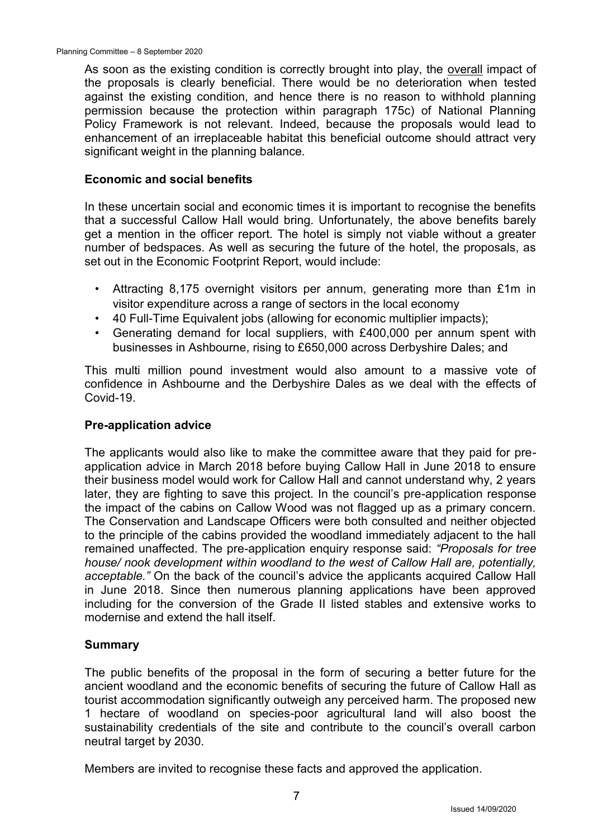As soon as the existing condition is correctly brought into play, the overall impact of the proposals is clearly beneficial. There would be no deterioration when tested against the existing condition, and hence there is no reason to withhold planning permission because the protection within paragraph 175c) of National Planning Policy Framework is not relevant. Indeed, because the proposals would lead to enhancement of an irreplaceable habitat this beneficial outcome should attract very significant weight in the planning balance.

### **Economic and social benefits**

In these uncertain social and economic times it is important to recognise the benefits that a successful Callow Hall would bring. Unfortunately, the above benefits barely get a mention in the officer report. The hotel is simply not viable without a greater number of bedspaces. As well as securing the future of the hotel, the proposals, as set out in the Economic Footprint Report, would include:

- Attracting 8,175 overnight visitors per annum, generating more than £1m in visitor expenditure across a range of sectors in the local economy
- 40 Full-Time Equivalent jobs (allowing for economic multiplier impacts);
- Generating demand for local suppliers, with £400,000 per annum spent with businesses in Ashbourne, rising to £650,000 across Derbyshire Dales; and

This multi million pound investment would also amount to a massive vote of confidence in Ashbourne and the Derbyshire Dales as we deal with the effects of Covid-19.

### **Pre-application advice**

The applicants would also like to make the committee aware that they paid for preapplication advice in March 2018 before buying Callow Hall in June 2018 to ensure their business model would work for Callow Hall and cannot understand why, 2 years later, they are fighting to save this project. In the council's pre-application response the impact of the cabins on Callow Wood was not flagged up as a primary concern. The Conservation and Landscape Officers were both consulted and neither objected to the principle of the cabins provided the woodland immediately adjacent to the hall remained unaffected. The pre-application enquiry response said: *"Proposals for tree house/ nook development within woodland to the west of Callow Hall are, potentially, acceptable."* On the back of the council's advice the applicants acquired Callow Hall in June 2018. Since then numerous planning applications have been approved including for the conversion of the Grade II listed stables and extensive works to modernise and extend the hall itself.

### **Summary**

The public benefits of the proposal in the form of securing a better future for the ancient woodland and the economic benefits of securing the future of Callow Hall as tourist accommodation significantly outweigh any perceived harm. The proposed new 1 hectare of woodland on species-poor agricultural land will also boost the sustainability credentials of the site and contribute to the council's overall carbon neutral target by 2030.

Members are invited to recognise these facts and approved the application.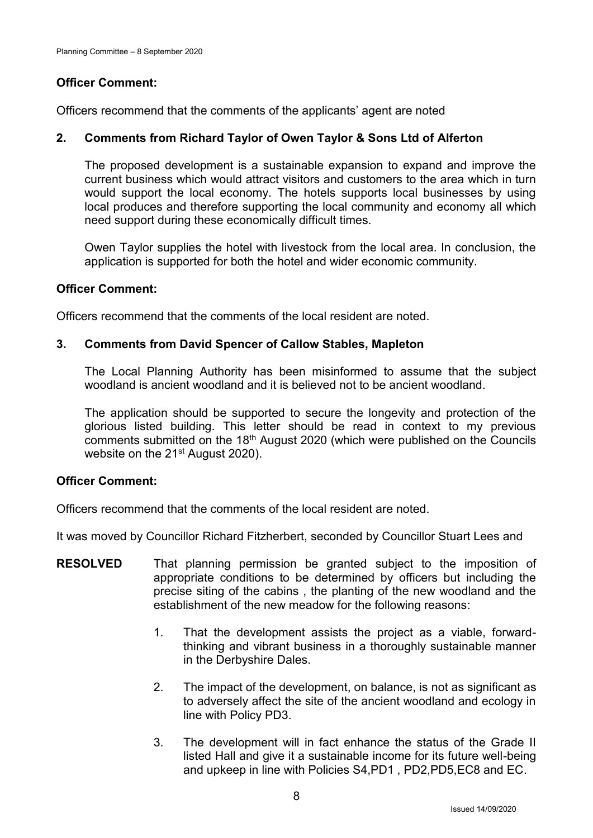# **Officer Comment:**

Officers recommend that the comments of the applicants' agent are noted

# **2. Comments from Richard Taylor of Owen Taylor & Sons Ltd of Alferton**

The proposed development is a sustainable expansion to expand and improve the current business which would attract visitors and customers to the area which in turn would support the local economy. The hotels supports local businesses by using local produces and therefore supporting the local community and economy all which need support during these economically difficult times.

Owen Taylor supplies the hotel with livestock from the local area. In conclusion, the application is supported for both the hotel and wider economic community.

# **Officer Comment:**

Officers recommend that the comments of the local resident are noted.

# **3. Comments from David Spencer of Callow Stables, Mapleton**

The Local Planning Authority has been misinformed to assume that the subject woodland is ancient woodland and it is believed not to be ancient woodland.

The application should be supported to secure the longevity and protection of the glorious listed building. This letter should be read in context to my previous comments submitted on the 18<sup>th</sup> August 2020 (which were published on the Councils website on the 21<sup>st</sup> August 2020).

## **Officer Comment:**

Officers recommend that the comments of the local resident are noted.

It was moved by Councillor Richard Fitzherbert, seconded by Councillor Stuart Lees and

- **RESOLVED** That planning permission be granted subject to the imposition of appropriate conditions to be determined by officers but including the precise siting of the cabins , the planting of the new woodland and the establishment of the new meadow for the following reasons:
	- 1. That the development assists the project as a viable, forwardthinking and vibrant business in a thoroughly sustainable manner in the Derbyshire Dales.
	- 2. The impact of the development, on balance, is not as significant as to adversely affect the site of the ancient woodland and ecology in line with Policy PD3.
	- 3. The development will in fact enhance the status of the Grade II listed Hall and give it a sustainable income for its future well-being and upkeep in line with Policies S4,PD1 , PD2,PD5,EC8 and EC.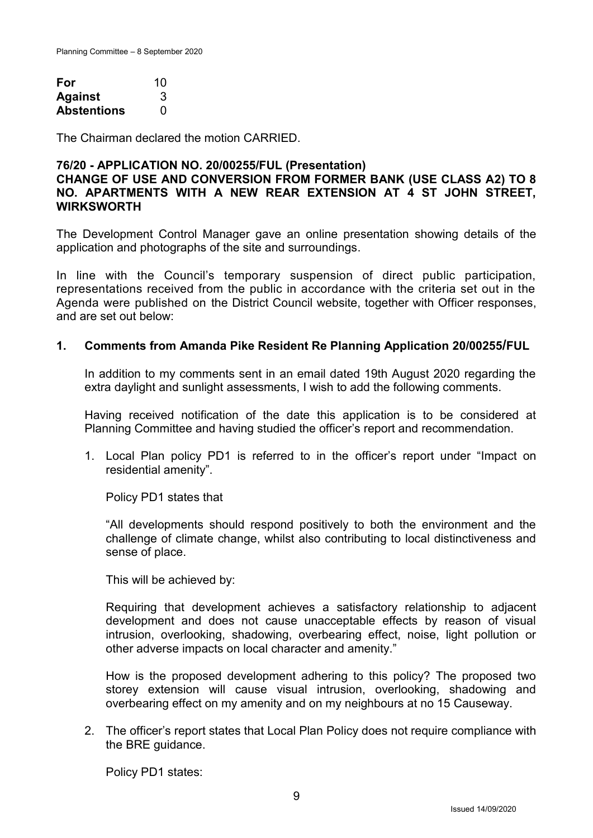| For                | 10 |
|--------------------|----|
| <b>Against</b>     | 3  |
| <b>Abstentions</b> | O  |

The Chairman declared the motion CARRIED.

### **76/20 - APPLICATION NO. 20/00255/FUL (Presentation) CHANGE OF USE AND CONVERSION FROM FORMER BANK (USE CLASS A2) TO 8 NO. APARTMENTS WITH A NEW REAR EXTENSION AT 4 ST JOHN STREET, WIRKSWORTH**

The Development Control Manager gave an online presentation showing details of the application and photographs of the site and surroundings.

In line with the Council's temporary suspension of direct public participation, representations received from the public in accordance with the criteria set out in the Agenda were published on the District Council website, together with Officer responses, and are set out below:

### **1. Comments from Amanda Pike Resident Re Planning Application 20/00255/FUL**

In addition to my comments sent in an email dated 19th August 2020 regarding the extra daylight and sunlight assessments, I wish to add the following comments.

Having received notification of the date this application is to be considered at Planning Committee and having studied the officer's report and recommendation.

1. Local Plan policy PD1 is referred to in the officer's report under "Impact on residential amenity".

Policy PD1 states that

"All developments should respond positively to both the environment and the challenge of climate change, whilst also contributing to local distinctiveness and sense of place.

This will be achieved by:

Requiring that development achieves a satisfactory relationship to adjacent development and does not cause unacceptable effects by reason of visual intrusion, overlooking, shadowing, overbearing effect, noise, light pollution or other adverse impacts on local character and amenity."

How is the proposed development adhering to this policy? The proposed two storey extension will cause visual intrusion, overlooking, shadowing and overbearing effect on my amenity and on my neighbours at no 15 Causeway.

2. The officer's report states that Local Plan Policy does not require compliance with the BRE guidance.

Policy PD1 states: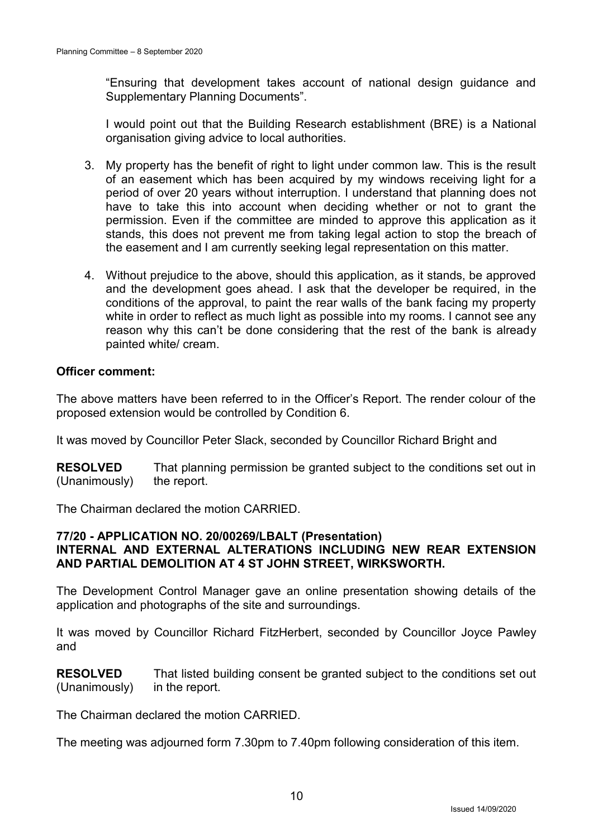"Ensuring that development takes account of national design guidance and Supplementary Planning Documents".

I would point out that the Building Research establishment (BRE) is a National organisation giving advice to local authorities.

- 3. My property has the benefit of right to light under common law. This is the result of an easement which has been acquired by my windows receiving light for a period of over 20 years without interruption. I understand that planning does not have to take this into account when deciding whether or not to grant the permission. Even if the committee are minded to approve this application as it stands, this does not prevent me from taking legal action to stop the breach of the easement and I am currently seeking legal representation on this matter.
- 4. Without prejudice to the above, should this application, as it stands, be approved and the development goes ahead. I ask that the developer be required, in the conditions of the approval, to paint the rear walls of the bank facing my property white in order to reflect as much light as possible into my rooms. I cannot see any reason why this can't be done considering that the rest of the bank is already painted white/ cream.

## **Officer comment:**

The above matters have been referred to in the Officer's Report. The render colour of the proposed extension would be controlled by Condition 6.

It was moved by Councillor Peter Slack, seconded by Councillor Richard Bright and

**RESOLVED** (Unanimously) That planning permission be granted subject to the conditions set out in the report.

The Chairman declared the motion CARRIED.

### **77/20 - APPLICATION NO. 20/00269/LBALT (Presentation) INTERNAL AND EXTERNAL ALTERATIONS INCLUDING NEW REAR EXTENSION AND PARTIAL DEMOLITION AT 4 ST JOHN STREET, WIRKSWORTH.**

The Development Control Manager gave an online presentation showing details of the application and photographs of the site and surroundings.

It was moved by Councillor Richard FitzHerbert, seconded by Councillor Joyce Pawley and

**RESOLVED** (Unanimously) That listed building consent be granted subject to the conditions set out in the report.

The Chairman declared the motion CARRIED.

The meeting was adjourned form 7.30pm to 7.40pm following consideration of this item.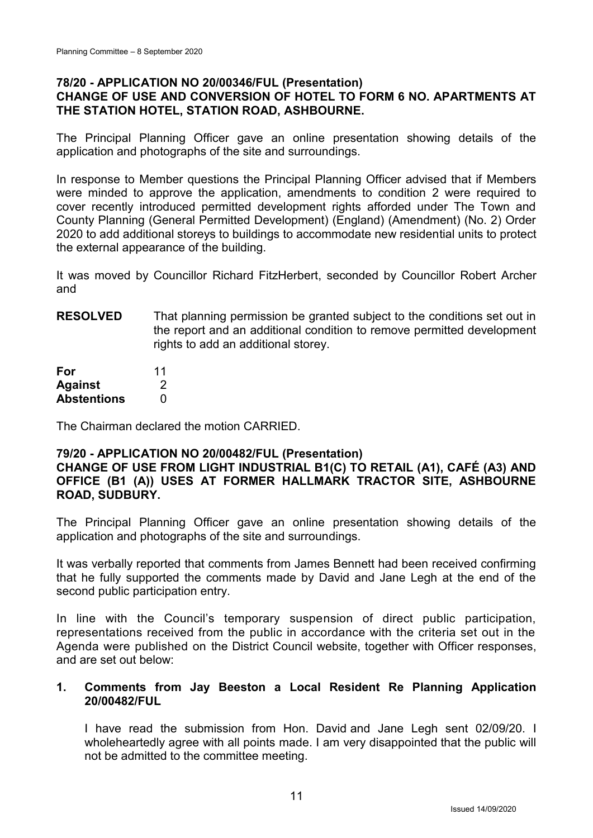## **78/20 - APPLICATION NO 20/00346/FUL (Presentation) CHANGE OF USE AND CONVERSION OF HOTEL TO FORM 6 NO. APARTMENTS AT THE STATION HOTEL, STATION ROAD, ASHBOURNE.**

The Principal Planning Officer gave an online presentation showing details of the application and photographs of the site and surroundings.

In response to Member questions the Principal Planning Officer advised that if Members were minded to approve the application, amendments to condition 2 were required to cover recently introduced permitted development rights afforded under The Town and County Planning (General Permitted Development) (England) (Amendment) (No. 2) Order 2020 to add additional storeys to buildings to accommodate new residential units to protect the external appearance of the building.

It was moved by Councillor Richard FitzHerbert, seconded by Councillor Robert Archer and

**RESOLVED** That planning permission be granted subject to the conditions set out in the report and an additional condition to remove permitted development rights to add an additional storey.

| For                | 11 |
|--------------------|----|
| <b>Against</b>     | 2  |
| <b>Abstentions</b> | O  |

The Chairman declared the motion CARRIED.

## **79/20 - APPLICATION NO 20/00482/FUL (Presentation)**

### **CHANGE OF USE FROM LIGHT INDUSTRIAL B1(C) TO RETAIL (A1), CAFÉ (A3) AND OFFICE (B1 (A)) USES AT FORMER HALLMARK TRACTOR SITE, ASHBOURNE ROAD, SUDBURY.**

The Principal Planning Officer gave an online presentation showing details of the application and photographs of the site and surroundings.

It was verbally reported that comments from James Bennett had been received confirming that he fully supported the comments made by David and Jane Legh at the end of the second public participation entry.

In line with the Council's temporary suspension of direct public participation, representations received from the public in accordance with the criteria set out in the Agenda were published on the District Council website, together with Officer responses, and are set out below:

### **1. Comments from Jay Beeston a Local Resident Re Planning Application 20/00482/FUL**

I have read the submission from Hon. David and Jane Legh sent 02/09/20. I wholeheartedly agree with all points made. I am very disappointed that the public will not be admitted to the committee meeting.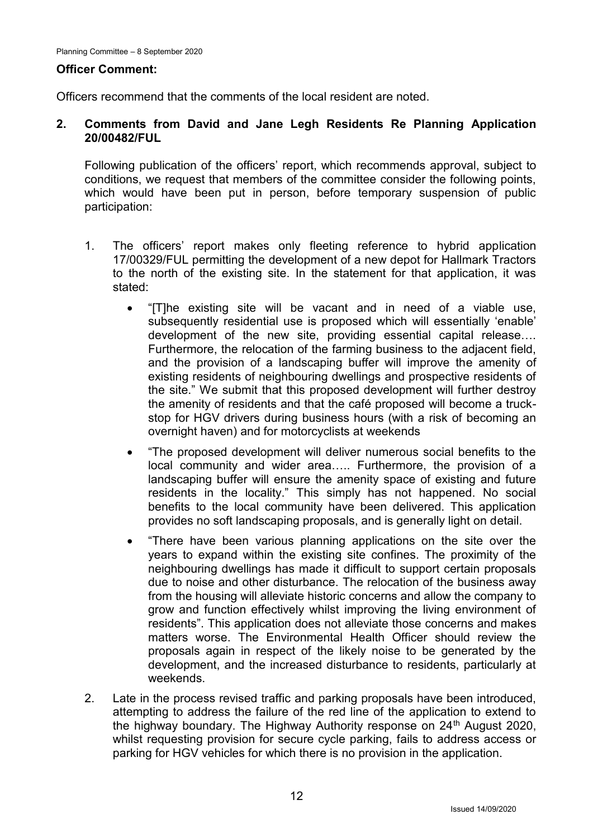### **Officer Comment:**

Officers recommend that the comments of the local resident are noted.

## **2. Comments from David and Jane Legh Residents Re Planning Application 20/00482/FUL**

Following publication of the officers' report, which recommends approval, subject to conditions, we request that members of the committee consider the following points, which would have been put in person, before temporary suspension of public participation:

- 1. The officers' report makes only fleeting reference to hybrid application 17/00329/FUL permitting the development of a new depot for Hallmark Tractors to the north of the existing site. In the statement for that application, it was stated:
	- "[T]he existing site will be vacant and in need of a viable use, subsequently residential use is proposed which will essentially 'enable' development of the new site, providing essential capital release…. Furthermore, the relocation of the farming business to the adjacent field, and the provision of a landscaping buffer will improve the amenity of existing residents of neighbouring dwellings and prospective residents of the site." We submit that this proposed development will further destroy the amenity of residents and that the café proposed will become a truckstop for HGV drivers during business hours (with a risk of becoming an overnight haven) and for motorcyclists at weekends
	- "The proposed development will deliver numerous social benefits to the local community and wider area….. Furthermore, the provision of a landscaping buffer will ensure the amenity space of existing and future residents in the locality." This simply has not happened. No social benefits to the local community have been delivered. This application provides no soft landscaping proposals, and is generally light on detail.
	- "There have been various planning applications on the site over the years to expand within the existing site confines. The proximity of the neighbouring dwellings has made it difficult to support certain proposals due to noise and other disturbance. The relocation of the business away from the housing will alleviate historic concerns and allow the company to grow and function effectively whilst improving the living environment of residents". This application does not alleviate those concerns and makes matters worse. The Environmental Health Officer should review the proposals again in respect of the likely noise to be generated by the development, and the increased disturbance to residents, particularly at weekends.
- 2. Late in the process revised traffic and parking proposals have been introduced, attempting to address the failure of the red line of the application to extend to the highway boundary. The Highway Authority response on 24<sup>th</sup> August 2020, whilst requesting provision for secure cycle parking, fails to address access or parking for HGV vehicles for which there is no provision in the application.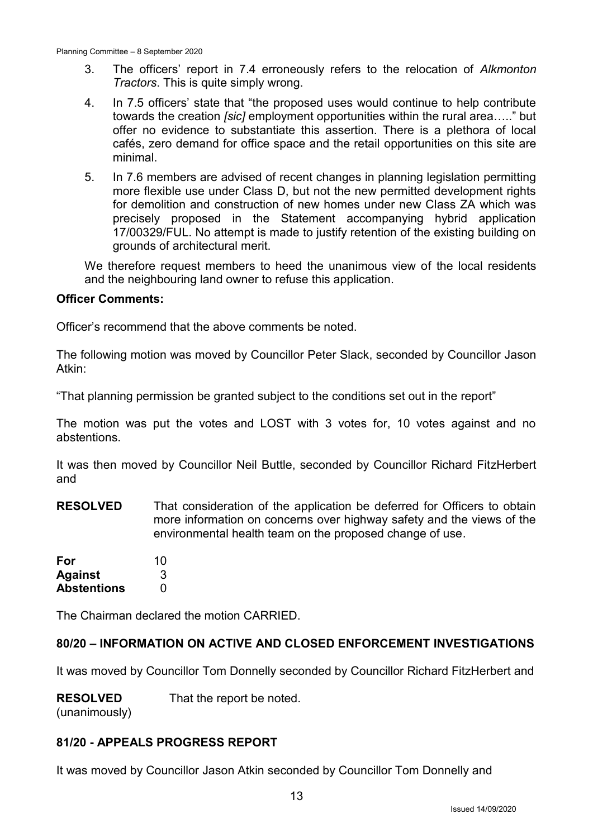- 3. The officers' report in 7.4 erroneously refers to the relocation of *Alkmonton Tractors*. This is quite simply wrong.
- 4. In 7.5 officers' state that "the proposed uses would continue to help contribute towards the creation *[sic]* employment opportunities within the rural area….." but offer no evidence to substantiate this assertion. There is a plethora of local cafés, zero demand for office space and the retail opportunities on this site are minimal.
- 5. In 7.6 members are advised of recent changes in planning legislation permitting more flexible use under Class D, but not the new permitted development rights for demolition and construction of new homes under new Class ZA which was precisely proposed in the Statement accompanying hybrid application 17/00329/FUL. No attempt is made to justify retention of the existing building on grounds of architectural merit.

We therefore request members to heed the unanimous view of the local residents and the neighbouring land owner to refuse this application.

### **Officer Comments:**

Officer's recommend that the above comments be noted.

The following motion was moved by Councillor Peter Slack, seconded by Councillor Jason Atkin:

"That planning permission be granted subject to the conditions set out in the report"

The motion was put the votes and LOST with 3 votes for, 10 votes against and no abstentions.

It was then moved by Councillor Neil Buttle, seconded by Councillor Richard FitzHerbert and

**RESOLVED** That consideration of the application be deferred for Officers to obtain more information on concerns over highway safety and the views of the environmental health team on the proposed change of use.

| For                | 10 |
|--------------------|----|
| <b>Against</b>     | 3  |
| <b>Abstentions</b> | O  |

The Chairman declared the motion CARRIED.

## **80/20 – INFORMATION ON ACTIVE AND CLOSED ENFORCEMENT INVESTIGATIONS**

It was moved by Councillor Tom Donnelly seconded by Councillor Richard FitzHerbert and

**RESOLVED** That the report be noted.

(unanimously)

## **81/20 - APPEALS PROGRESS REPORT**

It was moved by Councillor Jason Atkin seconded by Councillor Tom Donnelly and